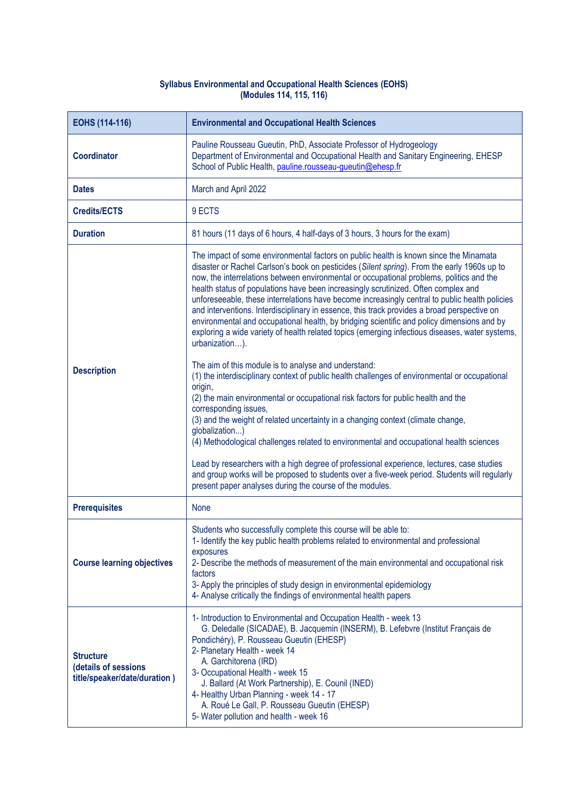## **Syllabus Environmental and Occupational Health Sciences (EOHS) (Modules 114, 115, 116)**

| EOHS (114-116)                                                           | <b>Environmental and Occupational Health Sciences</b>                                                                                                                                                                                                                                                                                                                                                                                                                                                                                                                                                                                                                                                                                                                                                                                              |
|--------------------------------------------------------------------------|----------------------------------------------------------------------------------------------------------------------------------------------------------------------------------------------------------------------------------------------------------------------------------------------------------------------------------------------------------------------------------------------------------------------------------------------------------------------------------------------------------------------------------------------------------------------------------------------------------------------------------------------------------------------------------------------------------------------------------------------------------------------------------------------------------------------------------------------------|
| Coordinator                                                              | Pauline Rousseau Gueutin, PhD, Associate Professor of Hydrogeology<br>Department of Environmental and Occupational Health and Sanitary Engineering, EHESP<br>School of Public Health, pauline.rousseau-gueutin@ehesp.fr                                                                                                                                                                                                                                                                                                                                                                                                                                                                                                                                                                                                                            |
| <b>Dates</b>                                                             | March and April 2022                                                                                                                                                                                                                                                                                                                                                                                                                                                                                                                                                                                                                                                                                                                                                                                                                               |
| <b>Credits/ECTS</b>                                                      | 9 ECTS                                                                                                                                                                                                                                                                                                                                                                                                                                                                                                                                                                                                                                                                                                                                                                                                                                             |
| <b>Duration</b>                                                          | 81 hours (11 days of 6 hours, 4 half-days of 3 hours, 3 hours for the exam)                                                                                                                                                                                                                                                                                                                                                                                                                                                                                                                                                                                                                                                                                                                                                                        |
| <b>Description</b>                                                       | The impact of some environmental factors on public health is known since the Minamata<br>disaster or Rachel Carlson's book on pesticides (Silent spring). From the early 1960s up to<br>now, the interrelations between environmental or occupational problems, politics and the<br>health status of populations have been increasingly scrutinized. Often complex and<br>unforeseeable, these interrelations have become increasingly central to public health policies<br>and interventions. Interdisciplinary in essence, this track provides a broad perspective on<br>environmental and occupational health, by bridging scientific and policy dimensions and by<br>exploring a wide variety of health related topics (emerging infectious diseases, water systems,<br>urbanization).<br>The aim of this module is to analyse and understand: |
|                                                                          | (1) the interdisciplinary context of public health challenges of environmental or occupational<br>origin,<br>(2) the main environmental or occupational risk factors for public health and the<br>corresponding issues,<br>(3) and the weight of related uncertainty in a changing context (climate change,<br>globalization)<br>(4) Methodological challenges related to environmental and occupational health sciences<br>Lead by researchers with a high degree of professional experience, lectures, case studies<br>and group works will be proposed to students over a five-week period. Students will regularly<br>present paper analyses during the course of the modules.                                                                                                                                                                 |
| <b>Prerequisites</b>                                                     | None                                                                                                                                                                                                                                                                                                                                                                                                                                                                                                                                                                                                                                                                                                                                                                                                                                               |
| <b>Course learning objectives</b>                                        | Students who successfully complete this course will be able to:<br>1- Identify the key public health problems related to environmental and professional<br>exposures<br>2- Describe the methods of measurement of the main environmental and occupational risk<br>factors<br>3- Apply the principles of study design in environmental epidemiology<br>4- Analyse critically the findings of environmental health papers                                                                                                                                                                                                                                                                                                                                                                                                                            |
| <b>Structure</b><br>(details of sessions<br>title/speaker/date/duration) | 1- Introduction to Environmental and Occupation Health - week 13<br>G. Deledalle (SICADAE), B. Jacquemin (INSERM), B. Lefebvre (Institut Français de<br>Pondichéry), P. Rousseau Gueutin (EHESP)<br>2- Planetary Health - week 14<br>A. Garchitorena (IRD)<br>3- Occupational Health - week 15<br>J. Ballard (At Work Partnership), E. Counil (INED)<br>4- Healthy Urban Planning - week 14 - 17<br>A. Roué Le Gall, P. Rousseau Gueutin (EHESP)<br>5- Water pollution and health - week 16                                                                                                                                                                                                                                                                                                                                                        |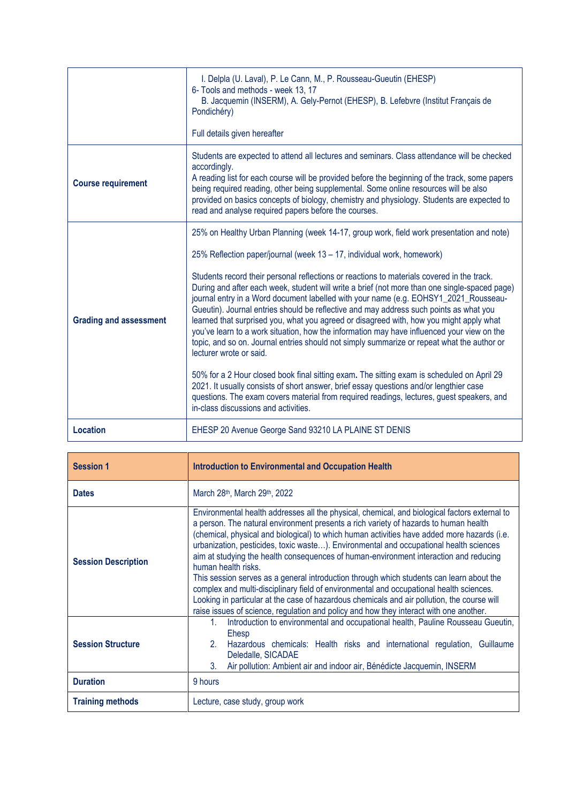|                               | I. Delpla (U. Laval), P. Le Cann, M., P. Rousseau-Gueutin (EHESP)<br>6- Tools and methods - week 13, 17<br>B. Jacquemin (INSERM), A. Gely-Pernot (EHESP), B. Lefebvre (Institut Français de<br>Pondichéry)<br>Full details given hereafter                                                                                                                                                                                                                                                                                                                                                                                                                                                                                                                                                                                                                                                                                                                                                                                                                                                                                                                                                         |
|-------------------------------|----------------------------------------------------------------------------------------------------------------------------------------------------------------------------------------------------------------------------------------------------------------------------------------------------------------------------------------------------------------------------------------------------------------------------------------------------------------------------------------------------------------------------------------------------------------------------------------------------------------------------------------------------------------------------------------------------------------------------------------------------------------------------------------------------------------------------------------------------------------------------------------------------------------------------------------------------------------------------------------------------------------------------------------------------------------------------------------------------------------------------------------------------------------------------------------------------|
| <b>Course requirement</b>     | Students are expected to attend all lectures and seminars. Class attendance will be checked<br>accordingly.<br>A reading list for each course will be provided before the beginning of the track, some papers<br>being required reading, other being supplemental. Some online resources will be also<br>provided on basics concepts of biology, chemistry and physiology. Students are expected to<br>read and analyse required papers before the courses.                                                                                                                                                                                                                                                                                                                                                                                                                                                                                                                                                                                                                                                                                                                                        |
| <b>Grading and assessment</b> | 25% on Healthy Urban Planning (week 14-17, group work, field work presentation and note)<br>25% Reflection paper/journal (week 13 - 17, individual work, homework)<br>Students record their personal reflections or reactions to materials covered in the track.<br>During and after each week, student will write a brief (not more than one single-spaced page)<br>journal entry in a Word document labelled with your name (e.g. EOHSY1_2021_Rousseau-<br>Gueutin). Journal entries should be reflective and may address such points as what you<br>learned that surprised you, what you agreed or disagreed with, how you might apply what<br>you've learn to a work situation, how the information may have influenced your view on the<br>topic, and so on. Journal entries should not simply summarize or repeat what the author or<br>lecturer wrote or said.<br>50% for a 2 Hour closed book final sitting exam. The sitting exam is scheduled on April 29<br>2021. It usually consists of short answer, brief essay questions and/or lengthier case<br>questions. The exam covers material from required readings, lectures, guest speakers, and<br>in-class discussions and activities. |
| <b>Location</b>               | EHESP 20 Avenue George Sand 93210 LA PLAINE ST DENIS                                                                                                                                                                                                                                                                                                                                                                                                                                                                                                                                                                                                                                                                                                                                                                                                                                                                                                                                                                                                                                                                                                                                               |

| <b>Session 1</b>           | <b>Introduction to Environmental and Occupation Health</b>                                                                                                                                                                                                                                                                                                                                                                                                                                                                                                                                                                                                                                                                                                                                                                                                                     |
|----------------------------|--------------------------------------------------------------------------------------------------------------------------------------------------------------------------------------------------------------------------------------------------------------------------------------------------------------------------------------------------------------------------------------------------------------------------------------------------------------------------------------------------------------------------------------------------------------------------------------------------------------------------------------------------------------------------------------------------------------------------------------------------------------------------------------------------------------------------------------------------------------------------------|
| <b>Dates</b>               | March 28 <sup>th</sup> , March 29 <sup>th</sup> , 2022                                                                                                                                                                                                                                                                                                                                                                                                                                                                                                                                                                                                                                                                                                                                                                                                                         |
| <b>Session Description</b> | Environmental health addresses all the physical, chemical, and biological factors external to<br>a person. The natural environment presents a rich variety of hazards to human health<br>(chemical, physical and biological) to which human activities have added more hazards (i.e.<br>urbanization, pesticides, toxic waste). Environmental and occupational health sciences<br>aim at studying the health consequences of human-environment interaction and reducing<br>human health risks.<br>This session serves as a general introduction through which students can learn about the<br>complex and multi-disciplinary field of environmental and occupational health sciences.<br>Looking in particular at the case of hazardous chemicals and air pollution, the course will<br>raise issues of science, regulation and policy and how they interact with one another. |
| <b>Session Structure</b>   | Introduction to environmental and occupational health, Pauline Rousseau Gueutin,<br>1.<br>Ehesp<br>2.<br>Hazardous chemicals: Health risks and international regulation, Guillaume<br>Deledalle, SICADAE<br>Air pollution: Ambient air and indoor air, Bénédicte Jacquemin, INSERM<br>3.                                                                                                                                                                                                                                                                                                                                                                                                                                                                                                                                                                                       |
| <b>Duration</b>            | 9 hours                                                                                                                                                                                                                                                                                                                                                                                                                                                                                                                                                                                                                                                                                                                                                                                                                                                                        |
| <b>Training methods</b>    | Lecture, case study, group work                                                                                                                                                                                                                                                                                                                                                                                                                                                                                                                                                                                                                                                                                                                                                                                                                                                |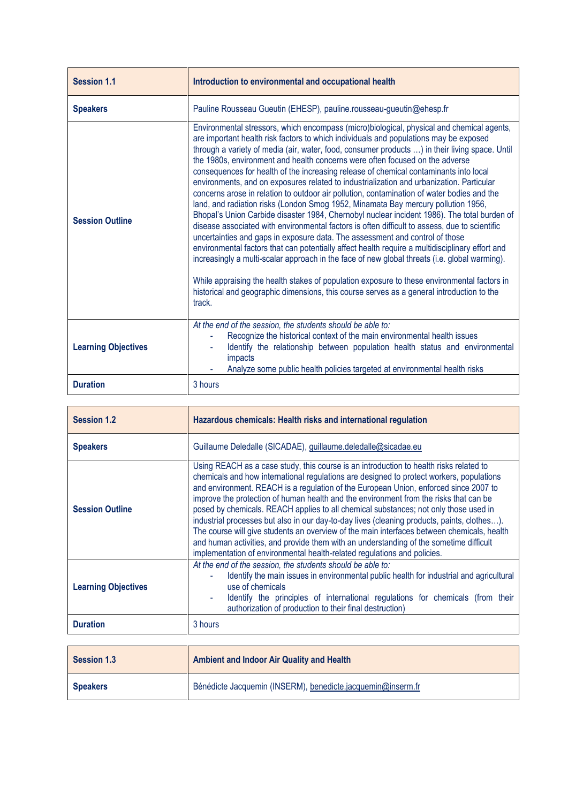| <b>Session 1.1</b>         | Introduction to environmental and occupational health                                                                                                                                                                                                                                                                                                                                                                                                                                                                                                                                                                                                                                                                                                                                                                                                                                                                                                                                                                                                                                                                                                                                                                                                                                                                                                                                                                                  |
|----------------------------|----------------------------------------------------------------------------------------------------------------------------------------------------------------------------------------------------------------------------------------------------------------------------------------------------------------------------------------------------------------------------------------------------------------------------------------------------------------------------------------------------------------------------------------------------------------------------------------------------------------------------------------------------------------------------------------------------------------------------------------------------------------------------------------------------------------------------------------------------------------------------------------------------------------------------------------------------------------------------------------------------------------------------------------------------------------------------------------------------------------------------------------------------------------------------------------------------------------------------------------------------------------------------------------------------------------------------------------------------------------------------------------------------------------------------------------|
| <b>Speakers</b>            | Pauline Rousseau Gueutin (EHESP), pauline.rousseau-gueutin@ehesp.fr                                                                                                                                                                                                                                                                                                                                                                                                                                                                                                                                                                                                                                                                                                                                                                                                                                                                                                                                                                                                                                                                                                                                                                                                                                                                                                                                                                    |
| <b>Session Outline</b>     | Environmental stressors, which encompass (micro)biological, physical and chemical agents,<br>are important health risk factors to which individuals and populations may be exposed<br>through a variety of media (air, water, food, consumer products ) in their living space. Until<br>the 1980s, environment and health concerns were often focused on the adverse<br>consequences for health of the increasing release of chemical contaminants into local<br>environments, and on exposures related to industrialization and urbanization. Particular<br>concerns arose in relation to outdoor air pollution, contamination of water bodies and the<br>land, and radiation risks (London Smog 1952, Minamata Bay mercury pollution 1956,<br>Bhopal's Union Carbide disaster 1984, Chernobyl nuclear incident 1986). The total burden of<br>disease associated with environmental factors is often difficult to assess, due to scientific<br>uncertainties and gaps in exposure data. The assessment and control of those<br>environmental factors that can potentially affect health require a multidisciplinary effort and<br>increasingly a multi-scalar approach in the face of new global threats (i.e. global warming).<br>While appraising the health stakes of population exposure to these environmental factors in<br>historical and geographic dimensions, this course serves as a general introduction to the<br>track. |
| <b>Learning Objectives</b> | At the end of the session, the students should be able to:<br>Recognize the historical context of the main environmental health issues<br>Identify the relationship between population health status and environmental<br>impacts<br>Analyze some public health policies targeted at environmental health risks                                                                                                                                                                                                                                                                                                                                                                                                                                                                                                                                                                                                                                                                                                                                                                                                                                                                                                                                                                                                                                                                                                                        |
| <b>Duration</b>            | 3 hours                                                                                                                                                                                                                                                                                                                                                                                                                                                                                                                                                                                                                                                                                                                                                                                                                                                                                                                                                                                                                                                                                                                                                                                                                                                                                                                                                                                                                                |

| <b>Session 1.2</b>         | Hazardous chemicals: Health risks and international regulation                                                                                                                                                                                                                                                                                                                                                                                                                                                                                                                                                                                                                                                                                                                                                                 |
|----------------------------|--------------------------------------------------------------------------------------------------------------------------------------------------------------------------------------------------------------------------------------------------------------------------------------------------------------------------------------------------------------------------------------------------------------------------------------------------------------------------------------------------------------------------------------------------------------------------------------------------------------------------------------------------------------------------------------------------------------------------------------------------------------------------------------------------------------------------------|
| <b>Speakers</b>            | Guillaume Deledalle (SICADAE), guillaume.deledalle@sicadae.eu                                                                                                                                                                                                                                                                                                                                                                                                                                                                                                                                                                                                                                                                                                                                                                  |
| <b>Session Outline</b>     | Using REACH as a case study, this course is an introduction to health risks related to<br>chemicals and how international regulations are designed to protect workers, populations<br>and environment. REACH is a regulation of the European Union, enforced since 2007 to<br>improve the protection of human health and the environment from the risks that can be<br>posed by chemicals. REACH applies to all chemical substances; not only those used in<br>industrial processes but also in our day-to-day lives (cleaning products, paints, clothes).<br>The course will give students an overview of the main interfaces between chemicals, health<br>and human activities, and provide them with an understanding of the sometime difficult<br>implementation of environmental health-related regulations and policies. |
| <b>Learning Objectives</b> | At the end of the session, the students should be able to:<br>Identify the main issues in environmental public health for industrial and agricultural<br>use of chemicals<br>Identify the principles of international regulations for chemicals (from their<br>authorization of production to their final destruction)                                                                                                                                                                                                                                                                                                                                                                                                                                                                                                         |
| <b>Duration</b>            | 3 hours                                                                                                                                                                                                                                                                                                                                                                                                                                                                                                                                                                                                                                                                                                                                                                                                                        |

| Session 1.3     | Ambient and Indoor Air Quality and Health                   |
|-----------------|-------------------------------------------------------------|
| <b>Speakers</b> | Bénédicte Jacquemin (INSERM), benedicte.jacquemin@inserm.fr |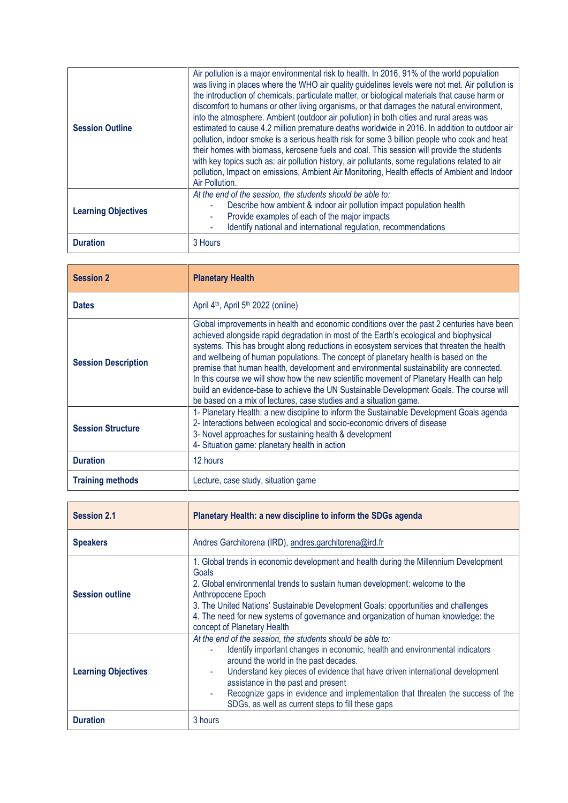| <b>Session Outline</b>     | Air pollution is a major environmental risk to health. In 2016, 91% of the world population<br>was living in places where the WHO air quality guidelines levels were not met. Air pollution is<br>the introduction of chemicals, particulate matter, or biological materials that cause harm or<br>discomfort to humans or other living organisms, or that damages the natural environment,<br>into the atmosphere. Ambient (outdoor air pollution) in both cities and rural areas was<br>estimated to cause 4.2 million premature deaths worldwide in 2016. In addition to outdoor air<br>pollution, indoor smoke is a serious health risk for some 3 billion people who cook and heat<br>their homes with biomass, kerosene fuels and coal. This session will provide the students<br>with key topics such as: air pollution history, air pollutants, some regulations related to air<br>pollution, Impact on emissions, Ambient Air Monitoring, Health effects of Ambient and Indoor<br>Air Pollution. |
|----------------------------|-----------------------------------------------------------------------------------------------------------------------------------------------------------------------------------------------------------------------------------------------------------------------------------------------------------------------------------------------------------------------------------------------------------------------------------------------------------------------------------------------------------------------------------------------------------------------------------------------------------------------------------------------------------------------------------------------------------------------------------------------------------------------------------------------------------------------------------------------------------------------------------------------------------------------------------------------------------------------------------------------------------|
| <b>Learning Objectives</b> | At the end of the session, the students should be able to:<br>Describe how ambient & indoor air pollution impact population health<br>Provide examples of each of the major impacts<br>Identify national and international regulation, recommendations<br>۰                                                                                                                                                                                                                                                                                                                                                                                                                                                                                                                                                                                                                                                                                                                                               |
| <b>Duration</b>            | 3 Hours                                                                                                                                                                                                                                                                                                                                                                                                                                                                                                                                                                                                                                                                                                                                                                                                                                                                                                                                                                                                   |

| <b>Session 2</b>           | <b>Planetary Health</b>                                                                                                                                                                                                                                                                                                                                                                                                                                                                                                                                                                                                                                                                                                       |
|----------------------------|-------------------------------------------------------------------------------------------------------------------------------------------------------------------------------------------------------------------------------------------------------------------------------------------------------------------------------------------------------------------------------------------------------------------------------------------------------------------------------------------------------------------------------------------------------------------------------------------------------------------------------------------------------------------------------------------------------------------------------|
| <b>Dates</b>               | April 4 <sup>th</sup> , April 5 <sup>th</sup> 2022 (online)                                                                                                                                                                                                                                                                                                                                                                                                                                                                                                                                                                                                                                                                   |
| <b>Session Description</b> | Global improvements in health and economic conditions over the past 2 centuries have been<br>achieved alongside rapid degradation in most of the Earth's ecological and biophysical<br>systems. This has brought along reductions in ecosystem services that threaten the health<br>and wellbeing of human populations. The concept of planetary health is based on the<br>premise that human health, development and environmental sustainability are connected.<br>In this course we will show how the new scientific movement of Planetary Health can help<br>build an evidence-base to achieve the UN Sustainable Development Goals. The course will<br>be based on a mix of lectures, case studies and a situation game. |
| <b>Session Structure</b>   | 1- Planetary Health: a new discipline to inform the Sustainable Development Goals agenda<br>2- Interactions between ecological and socio-economic drivers of disease<br>3- Novel approaches for sustaining health & development<br>4- Situation game: planetary health in action                                                                                                                                                                                                                                                                                                                                                                                                                                              |
| <b>Duration</b>            | 12 hours                                                                                                                                                                                                                                                                                                                                                                                                                                                                                                                                                                                                                                                                                                                      |
| <b>Training methods</b>    | Lecture, case study, situation game                                                                                                                                                                                                                                                                                                                                                                                                                                                                                                                                                                                                                                                                                           |

| <b>Session 2.1</b>         | Planetary Health: a new discipline to inform the SDGs agenda                                                                                                                                                                                                                                                                                                                                                                                         |
|----------------------------|------------------------------------------------------------------------------------------------------------------------------------------------------------------------------------------------------------------------------------------------------------------------------------------------------------------------------------------------------------------------------------------------------------------------------------------------------|
| <b>Speakers</b>            | Andres Garchitorena (IRD), andres.garchitorena@ird.fr                                                                                                                                                                                                                                                                                                                                                                                                |
| <b>Session outline</b>     | 1. Global trends in economic development and health during the Millennium Development<br>Goals<br>2. Global environmental trends to sustain human development: welcome to the<br>Anthropocene Epoch<br>3. The United Nations' Sustainable Development Goals: opportunities and challenges<br>4. The need for new systems of governance and organization of human knowledge: the<br>concept of Planetary Health                                       |
| <b>Learning Objectives</b> | At the end of the session, the students should be able to:<br>Identify important changes in economic, health and environmental indicators<br>around the world in the past decades.<br>Understand key pieces of evidence that have driven international development<br>٠<br>assistance in the past and present<br>Recognize gaps in evidence and implementation that threaten the success of the<br>SDGs, as well as current steps to fill these gaps |
| <b>Duration</b>            | 3 hours                                                                                                                                                                                                                                                                                                                                                                                                                                              |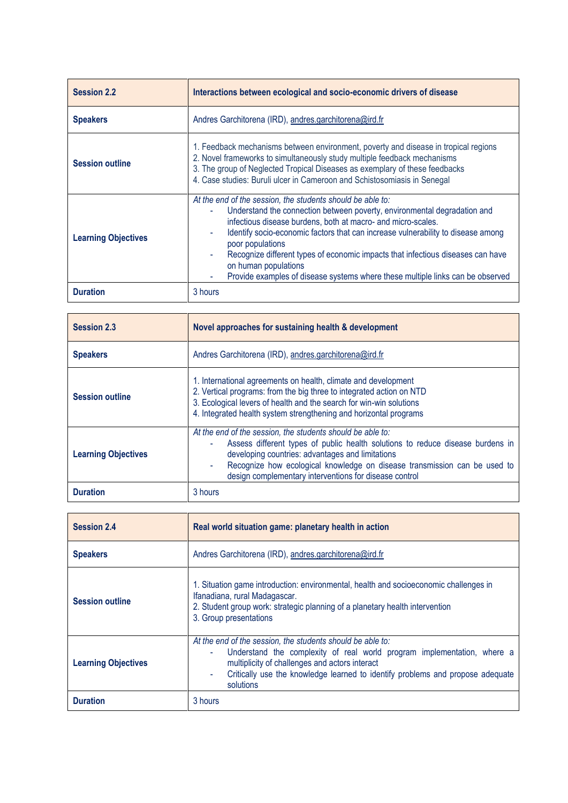| <b>Session 2.2</b>         | Interactions between ecological and socio-economic drivers of disease                                                                                                                                                                                                                                                                                                                                                                                                                                                         |
|----------------------------|-------------------------------------------------------------------------------------------------------------------------------------------------------------------------------------------------------------------------------------------------------------------------------------------------------------------------------------------------------------------------------------------------------------------------------------------------------------------------------------------------------------------------------|
| <b>Speakers</b>            | Andres Garchitorena (IRD), andres.garchitorena@ird.fr                                                                                                                                                                                                                                                                                                                                                                                                                                                                         |
| <b>Session outline</b>     | 1. Feedback mechanisms between environment, poverty and disease in tropical regions<br>2. Novel frameworks to simultaneously study multiple feedback mechanisms<br>3. The group of Neglected Tropical Diseases as exemplary of these feedbacks<br>4. Case studies: Buruli ulcer in Cameroon and Schistosomiasis in Senegal                                                                                                                                                                                                    |
| <b>Learning Objectives</b> | At the end of the session, the students should be able to:<br>Understand the connection between poverty, environmental degradation and<br>infectious disease burdens, both at macro- and micro-scales.<br>Identify socio-economic factors that can increase vulnerability to disease among<br>$\blacksquare$<br>poor populations<br>Recognize different types of economic impacts that infectious diseases can have<br>on human populations<br>Provide examples of disease systems where these multiple links can be observed |
| <b>Duration</b>            | 3 hours                                                                                                                                                                                                                                                                                                                                                                                                                                                                                                                       |

| Session 2.3                | Novel approaches for sustaining health & development                                                                                                                                                                                                                                                                                    |
|----------------------------|-----------------------------------------------------------------------------------------------------------------------------------------------------------------------------------------------------------------------------------------------------------------------------------------------------------------------------------------|
| <b>Speakers</b>            | Andres Garchitorena (IRD), andres garchitorena@ird.fr                                                                                                                                                                                                                                                                                   |
| <b>Session outline</b>     | 1. International agreements on health, climate and development<br>2. Vertical programs: from the big three to integrated action on NTD<br>3. Ecological levers of health and the search for win-win solutions<br>4. Integrated health system strengthening and horizontal programs                                                      |
| <b>Learning Objectives</b> | At the end of the session, the students should be able to:<br>Assess different types of public health solutions to reduce disease burdens in<br>developing countries: advantages and limitations<br>Recognize how ecological knowledge on disease transmission can be used to<br>design complementary interventions for disease control |
| <b>Duration</b>            | 3 hours                                                                                                                                                                                                                                                                                                                                 |

| <b>Session 2.4</b>         | Real world situation game: planetary health in action                                                                                                                                                                                                                                       |
|----------------------------|---------------------------------------------------------------------------------------------------------------------------------------------------------------------------------------------------------------------------------------------------------------------------------------------|
| <b>Speakers</b>            | Andres Garchitorena (IRD), andres.garchitorena@ird.fr                                                                                                                                                                                                                                       |
| <b>Session outline</b>     | 1. Situation game introduction: environmental, health and socioeconomic challenges in<br>Ifanadiana, rural Madagascar.<br>2. Student group work: strategic planning of a planetary health intervention<br>3. Group presentations                                                            |
| <b>Learning Objectives</b> | At the end of the session, the students should be able to:<br>Understand the complexity of real world program implementation, where a<br>multiplicity of challenges and actors interact<br>Critically use the knowledge learned to identify problems and propose adequate<br>٠<br>solutions |
| <b>Duration</b>            | 3 hours                                                                                                                                                                                                                                                                                     |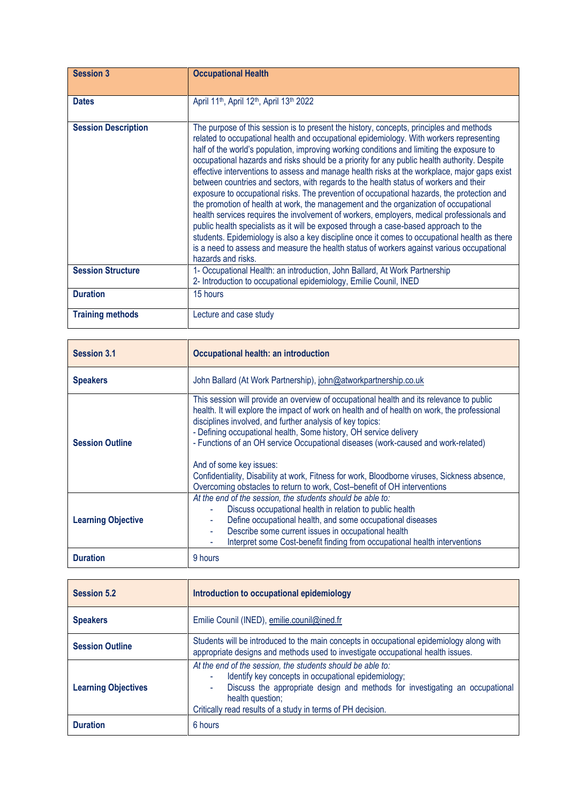| <b>Session 3</b>           | <b>Occupational Health</b>                                                                                                                                                                                                                                                                                                                                                                                                                                                                                                                                                                                                                                                                                                                                                                                                                                                                                                                                                                                                                                                                                                                                              |
|----------------------------|-------------------------------------------------------------------------------------------------------------------------------------------------------------------------------------------------------------------------------------------------------------------------------------------------------------------------------------------------------------------------------------------------------------------------------------------------------------------------------------------------------------------------------------------------------------------------------------------------------------------------------------------------------------------------------------------------------------------------------------------------------------------------------------------------------------------------------------------------------------------------------------------------------------------------------------------------------------------------------------------------------------------------------------------------------------------------------------------------------------------------------------------------------------------------|
|                            |                                                                                                                                                                                                                                                                                                                                                                                                                                                                                                                                                                                                                                                                                                                                                                                                                                                                                                                                                                                                                                                                                                                                                                         |
| <b>Dates</b>               | April 11 <sup>th</sup> , April 12 <sup>th</sup> , April 13 <sup>th</sup> 2022                                                                                                                                                                                                                                                                                                                                                                                                                                                                                                                                                                                                                                                                                                                                                                                                                                                                                                                                                                                                                                                                                           |
| <b>Session Description</b> | The purpose of this session is to present the history, concepts, principles and methods<br>related to occupational health and occupational epidemiology. With workers representing<br>half of the world's population, improving working conditions and limiting the exposure to<br>occupational hazards and risks should be a priority for any public health authority. Despite<br>effective interventions to assess and manage health risks at the workplace, major gaps exist<br>between countries and sectors, with regards to the health status of workers and their<br>exposure to occupational risks. The prevention of occupational hazards, the protection and<br>the promotion of health at work, the management and the organization of occupational<br>health services requires the involvement of workers, employers, medical professionals and<br>public health specialists as it will be exposed through a case-based approach to the<br>students. Epidemiology is also a key discipline once it comes to occupational health as there<br>is a need to assess and measure the health status of workers against various occupational<br>hazards and risks. |
| <b>Session Structure</b>   | 1- Occupational Health: an introduction, John Ballard, At Work Partnership<br>2- Introduction to occupational epidemiology, Emilie Counil, INED                                                                                                                                                                                                                                                                                                                                                                                                                                                                                                                                                                                                                                                                                                                                                                                                                                                                                                                                                                                                                         |
| <b>Duration</b>            | 15 hours                                                                                                                                                                                                                                                                                                                                                                                                                                                                                                                                                                                                                                                                                                                                                                                                                                                                                                                                                                                                                                                                                                                                                                |
| <b>Training methods</b>    | Lecture and case study                                                                                                                                                                                                                                                                                                                                                                                                                                                                                                                                                                                                                                                                                                                                                                                                                                                                                                                                                                                                                                                                                                                                                  |

| <b>Session 3.1</b>        | <b>Occupational health: an introduction</b>                                                                                                                                                                                                                                                                                                                                                                                                                                                                                                                                                                            |
|---------------------------|------------------------------------------------------------------------------------------------------------------------------------------------------------------------------------------------------------------------------------------------------------------------------------------------------------------------------------------------------------------------------------------------------------------------------------------------------------------------------------------------------------------------------------------------------------------------------------------------------------------------|
| <b>Speakers</b>           | John Ballard (At Work Partnership), john@atworkpartnership.co.uk                                                                                                                                                                                                                                                                                                                                                                                                                                                                                                                                                       |
| <b>Session Outline</b>    | This session will provide an overview of occupational health and its relevance to public<br>health. It will explore the impact of work on health and of health on work, the professional<br>disciplines involved, and further analysis of key topics:<br>- Defining occupational health, Some history, OH service delivery<br>- Functions of an OH service Occupational diseases (work-caused and work-related)<br>And of some key issues:<br>Confidentiality, Disability at work, Fitness for work, Bloodborne viruses, Sickness absence,<br>Overcoming obstacles to return to work, Cost-benefit of OH interventions |
| <b>Learning Objective</b> | At the end of the session, the students should be able to:<br>Discuss occupational health in relation to public health<br>Define occupational health, and some occupational diseases<br>Describe some current issues in occupational health<br>Interpret some Cost-benefit finding from occupational health interventions                                                                                                                                                                                                                                                                                              |
| <b>Duration</b>           | 9 hours                                                                                                                                                                                                                                                                                                                                                                                                                                                                                                                                                                                                                |

| <b>Session 5.2</b>         | Introduction to occupational epidemiology                                                                                                                                                                                                                                                 |
|----------------------------|-------------------------------------------------------------------------------------------------------------------------------------------------------------------------------------------------------------------------------------------------------------------------------------------|
| <b>Speakers</b>            | Emilie Counil (INED), emilie.counil@ined.fr                                                                                                                                                                                                                                               |
| <b>Session Outline</b>     | Students will be introduced to the main concepts in occupational epidemiology along with<br>appropriate designs and methods used to investigate occupational health issues.                                                                                                               |
| <b>Learning Objectives</b> | At the end of the session, the students should be able to:<br>Identify key concepts in occupational epidemiology;<br>Discuss the appropriate design and methods for investigating an occupational<br>٠<br>health question;<br>Critically read results of a study in terms of PH decision. |
| <b>Duration</b>            | 6 hours                                                                                                                                                                                                                                                                                   |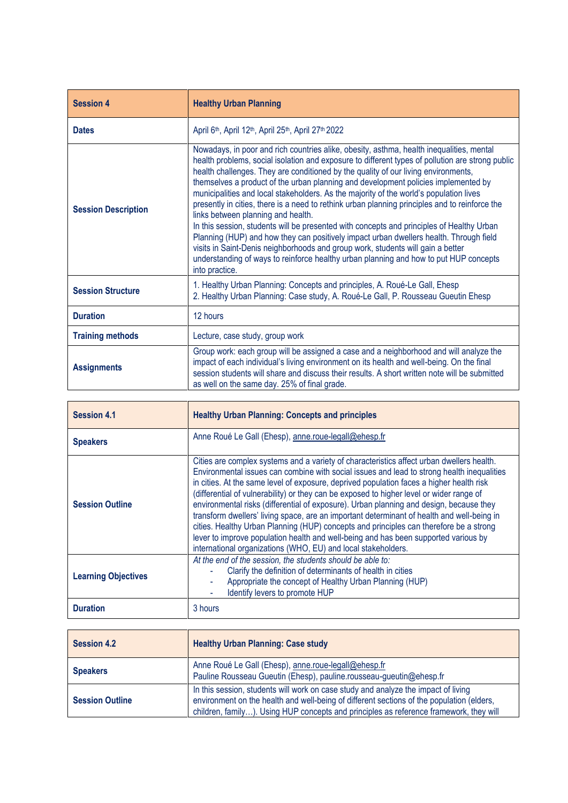| <b>Session 4</b>           | <b>Healthy Urban Planning</b>                                                                                                                                                                                                                                                                                                                                                                                                                                                                                                                                                                                                                                                                                                                                                                                                                                                                                                                                                                   |
|----------------------------|-------------------------------------------------------------------------------------------------------------------------------------------------------------------------------------------------------------------------------------------------------------------------------------------------------------------------------------------------------------------------------------------------------------------------------------------------------------------------------------------------------------------------------------------------------------------------------------------------------------------------------------------------------------------------------------------------------------------------------------------------------------------------------------------------------------------------------------------------------------------------------------------------------------------------------------------------------------------------------------------------|
| <b>Dates</b>               | April 6th, April 12th, April 25th, April 27th 2022                                                                                                                                                                                                                                                                                                                                                                                                                                                                                                                                                                                                                                                                                                                                                                                                                                                                                                                                              |
| <b>Session Description</b> | Nowadays, in poor and rich countries alike, obesity, asthma, health inequalities, mental<br>health problems, social isolation and exposure to different types of pollution are strong public<br>health challenges. They are conditioned by the quality of our living environments,<br>themselves a product of the urban planning and development policies implemented by<br>municipalities and local stakeholders. As the majority of the world's population lives<br>presently in cities, there is a need to rethink urban planning principles and to reinforce the<br>links between planning and health.<br>In this session, students will be presented with concepts and principles of Healthy Urban<br>Planning (HUP) and how they can positively impact urban dwellers health. Through field<br>visits in Saint-Denis neighborhoods and group work, students will gain a better<br>understanding of ways to reinforce healthy urban planning and how to put HUP concepts<br>into practice. |
| <b>Session Structure</b>   | 1. Healthy Urban Planning: Concepts and principles, A. Roué-Le Gall, Ehesp<br>2. Healthy Urban Planning: Case study, A. Roué-Le Gall, P. Rousseau Gueutin Ehesp                                                                                                                                                                                                                                                                                                                                                                                                                                                                                                                                                                                                                                                                                                                                                                                                                                 |
| <b>Duration</b>            | 12 hours                                                                                                                                                                                                                                                                                                                                                                                                                                                                                                                                                                                                                                                                                                                                                                                                                                                                                                                                                                                        |
| <b>Training methods</b>    | Lecture, case study, group work                                                                                                                                                                                                                                                                                                                                                                                                                                                                                                                                                                                                                                                                                                                                                                                                                                                                                                                                                                 |
| <b>Assignments</b>         | Group work: each group will be assigned a case and a neighborhood and will analyze the<br>impact of each individual's living environment on its health and well-being. On the final<br>session students will share and discuss their results. A short written note will be submitted<br>as well on the same day. 25% of final grade.                                                                                                                                                                                                                                                                                                                                                                                                                                                                                                                                                                                                                                                            |

| <b>Session 4.1</b>         | <b>Healthy Urban Planning: Concepts and principles</b>                                                                                                                                                                                                                                                                                                                                                                                                                                                                                                                                                                                                                                                                                                                                                                     |
|----------------------------|----------------------------------------------------------------------------------------------------------------------------------------------------------------------------------------------------------------------------------------------------------------------------------------------------------------------------------------------------------------------------------------------------------------------------------------------------------------------------------------------------------------------------------------------------------------------------------------------------------------------------------------------------------------------------------------------------------------------------------------------------------------------------------------------------------------------------|
| <b>Speakers</b>            | Anne Roué Le Gall (Ehesp), anne.roue-legall@ehesp.fr                                                                                                                                                                                                                                                                                                                                                                                                                                                                                                                                                                                                                                                                                                                                                                       |
| <b>Session Outline</b>     | Cities are complex systems and a variety of characteristics affect urban dwellers health.<br>Environmental issues can combine with social issues and lead to strong health inequalities<br>in cities. At the same level of exposure, deprived population faces a higher health risk<br>(differential of vulnerability) or they can be exposed to higher level or wider range of<br>environmental risks (differential of exposure). Urban planning and design, because they<br>transform dwellers' living space, are an important determinant of health and well-being in<br>cities. Healthy Urban Planning (HUP) concepts and principles can therefore be a strong<br>lever to improve population health and well-being and has been supported various by<br>international organizations (WHO, EU) and local stakeholders. |
| <b>Learning Objectives</b> | At the end of the session, the students should be able to:<br>Clarify the definition of determinants of health in cities<br>Appropriate the concept of Healthy Urban Planning (HUP)<br>Identify levers to promote HUP                                                                                                                                                                                                                                                                                                                                                                                                                                                                                                                                                                                                      |
| <b>Duration</b>            | 3 hours                                                                                                                                                                                                                                                                                                                                                                                                                                                                                                                                                                                                                                                                                                                                                                                                                    |

| <b>Session 4.2</b>     | <b>Healthy Urban Planning: Case study</b>                                                                                                                                                                                                                                 |
|------------------------|---------------------------------------------------------------------------------------------------------------------------------------------------------------------------------------------------------------------------------------------------------------------------|
| <b>Speakers</b>        | Anne Roué Le Gall (Ehesp), anne.roue-legall@ehesp.fr<br>Pauline Rousseau Gueutin (Ehesp), pauline.rousseau-gueutin@ehesp.fr                                                                                                                                               |
| <b>Session Outline</b> | In this session, students will work on case study and analyze the impact of living<br>environment on the health and well-being of different sections of the population (elders,<br>children, family). Using HUP concepts and principles as reference framework, they will |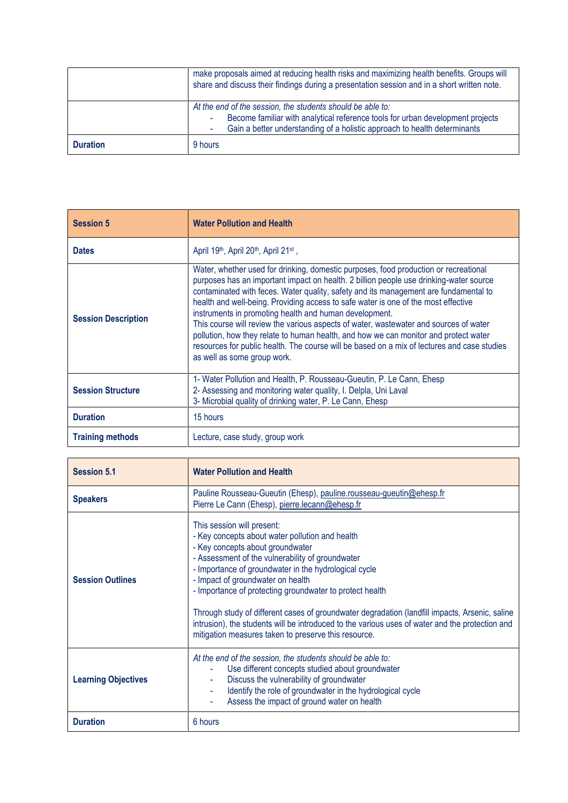| <b>Duration</b> | 9 hours                                                                                                                                                                                                                   |
|-----------------|---------------------------------------------------------------------------------------------------------------------------------------------------------------------------------------------------------------------------|
|                 | At the end of the session, the students should be able to:<br>Become familiar with analytical reference tools for urban development projects<br>Gain a better understanding of a holistic approach to health determinants |
|                 | make proposals aimed at reducing health risks and maximizing health benefits. Groups will<br>share and discuss their findings during a presentation session and in a short written note.                                  |

| <b>Session 5</b>           | <b>Water Pollution and Health</b>                                                                                                                                                                                                                                                                                                                                                                                                                                                                                                                                                                                                                                                                                                     |
|----------------------------|---------------------------------------------------------------------------------------------------------------------------------------------------------------------------------------------------------------------------------------------------------------------------------------------------------------------------------------------------------------------------------------------------------------------------------------------------------------------------------------------------------------------------------------------------------------------------------------------------------------------------------------------------------------------------------------------------------------------------------------|
| <b>Dates</b>               | April 19 <sup>th</sup> , April 20 <sup>th</sup> , April 21 <sup>st</sup> ,                                                                                                                                                                                                                                                                                                                                                                                                                                                                                                                                                                                                                                                            |
| <b>Session Description</b> | Water, whether used for drinking, domestic purposes, food production or recreational<br>purposes has an important impact on health. 2 billion people use drinking-water source<br>contaminated with feces. Water quality, safety and its management are fundamental to<br>health and well-being. Providing access to safe water is one of the most effective<br>instruments in promoting health and human development.<br>This course will review the various aspects of water, wastewater and sources of water<br>pollution, how they relate to human health, and how we can monitor and protect water<br>resources for public health. The course will be based on a mix of lectures and case studies<br>as well as some group work. |
| <b>Session Structure</b>   | 1- Water Pollution and Health, P. Rousseau-Gueutin, P. Le Cann, Ehesp<br>2- Assessing and monitoring water quality, I. Delpla, Uni Laval<br>3- Microbial quality of drinking water, P. Le Cann, Ehesp                                                                                                                                                                                                                                                                                                                                                                                                                                                                                                                                 |
| <b>Duration</b>            | 15 hours                                                                                                                                                                                                                                                                                                                                                                                                                                                                                                                                                                                                                                                                                                                              |
| <b>Training methods</b>    | Lecture, case study, group work                                                                                                                                                                                                                                                                                                                                                                                                                                                                                                                                                                                                                                                                                                       |

| <b>Session 5.1</b>         | <b>Water Pollution and Health</b>                                                                                                                                                                                                                                                                                                                                                                                                                                                                                                                                                            |
|----------------------------|----------------------------------------------------------------------------------------------------------------------------------------------------------------------------------------------------------------------------------------------------------------------------------------------------------------------------------------------------------------------------------------------------------------------------------------------------------------------------------------------------------------------------------------------------------------------------------------------|
| <b>Speakers</b>            | Pauline Rousseau-Gueutin (Ehesp), pauline rousseau-gueutin@ehesp.fr<br>Pierre Le Cann (Ehesp), pierre.lecann@ehesp.fr                                                                                                                                                                                                                                                                                                                                                                                                                                                                        |
| <b>Session Outlines</b>    | This session will present:<br>- Key concepts about water pollution and health<br>- Key concepts about groundwater<br>- Assessment of the vulnerability of groundwater<br>- Importance of groundwater in the hydrological cycle<br>- Impact of groundwater on health<br>- Importance of protecting groundwater to protect health<br>Through study of different cases of groundwater degradation (landfill impacts, Arsenic, saline<br>intrusion), the students will be introduced to the various uses of water and the protection and<br>mitigation measures taken to preserve this resource. |
| <b>Learning Objectives</b> | At the end of the session, the students should be able to:<br>Use different concepts studied about groundwater<br>Discuss the vulnerability of groundwater<br>Identify the role of groundwater in the hydrological cycle<br>Assess the impact of ground water on health                                                                                                                                                                                                                                                                                                                      |
| <b>Duration</b>            | 6 hours                                                                                                                                                                                                                                                                                                                                                                                                                                                                                                                                                                                      |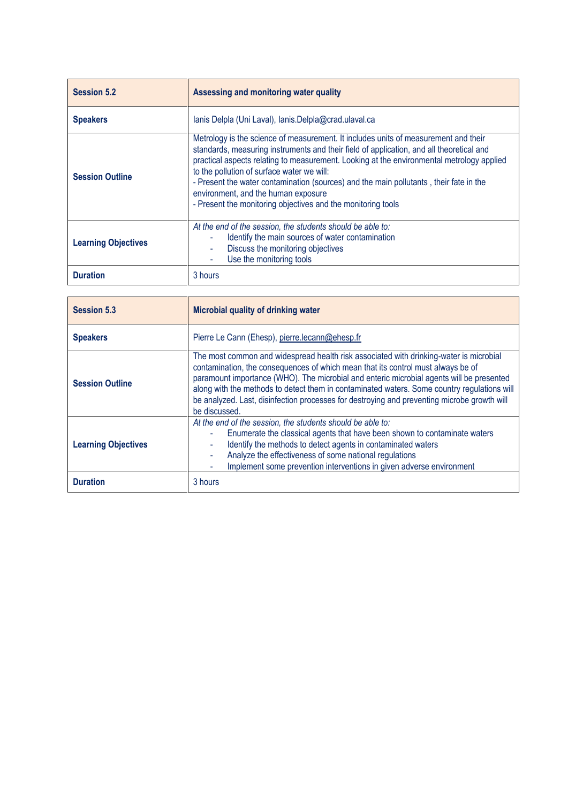| <b>Session 5.2</b>         | Assessing and monitoring water quality                                                                                                                                                                                                                                                                                                                                                                                                                                                                                      |
|----------------------------|-----------------------------------------------------------------------------------------------------------------------------------------------------------------------------------------------------------------------------------------------------------------------------------------------------------------------------------------------------------------------------------------------------------------------------------------------------------------------------------------------------------------------------|
| <b>Speakers</b>            | lanis Delpla (Uni Laval), lanis.Delpla@crad.ulaval.ca                                                                                                                                                                                                                                                                                                                                                                                                                                                                       |
| <b>Session Outline</b>     | Metrology is the science of measurement. It includes units of measurement and their<br>standards, measuring instruments and their field of application, and all theoretical and<br>practical aspects relating to measurement. Looking at the environmental metrology applied<br>to the pollution of surface water we will:<br>- Present the water contamination (sources) and the main pollutants, their fate in the<br>environment, and the human exposure<br>- Present the monitoring objectives and the monitoring tools |
| <b>Learning Objectives</b> | At the end of the session, the students should be able to:<br>Identify the main sources of water contamination<br>Discuss the monitoring objectives<br>Use the monitoring tools                                                                                                                                                                                                                                                                                                                                             |
| <b>Duration</b>            | 3 hours                                                                                                                                                                                                                                                                                                                                                                                                                                                                                                                     |

| <b>Session 5.3</b>         | Microbial quality of drinking water                                                                                                                                                                                                                                                                                                                                                                                                                                                   |
|----------------------------|---------------------------------------------------------------------------------------------------------------------------------------------------------------------------------------------------------------------------------------------------------------------------------------------------------------------------------------------------------------------------------------------------------------------------------------------------------------------------------------|
| <b>Speakers</b>            | Pierre Le Cann (Ehesp), pierre.lecann@ehesp.fr                                                                                                                                                                                                                                                                                                                                                                                                                                        |
| <b>Session Outline</b>     | The most common and widespread health risk associated with drinking-water is microbial<br>contamination, the consequences of which mean that its control must always be of<br>paramount importance (WHO). The microbial and enteric microbial agents will be presented<br>along with the methods to detect them in contaminated waters. Some country regulations will<br>be analyzed. Last, disinfection processes for destroying and preventing microbe growth will<br>be discussed. |
| <b>Learning Objectives</b> | At the end of the session, the students should be able to:<br>Enumerate the classical agents that have been shown to contaminate waters<br>Identify the methods to detect agents in contaminated waters<br>Analyze the effectiveness of some national regulations<br>Implement some prevention interventions in given adverse environment                                                                                                                                             |
| <b>Duration</b>            | 3 hours                                                                                                                                                                                                                                                                                                                                                                                                                                                                               |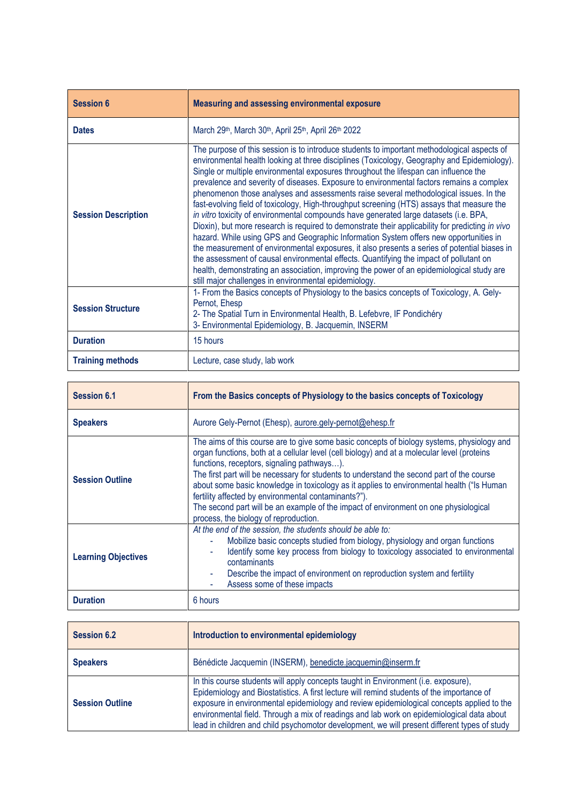| <b>Session 6</b>           | Measuring and assessing environmental exposure                                                                                                                                                                                                                                                                                                                                                                                                                                                                                                                                                                                                                                                                                                                                                                                                                                                                                                                                                                                                                                                                                                                                                              |
|----------------------------|-------------------------------------------------------------------------------------------------------------------------------------------------------------------------------------------------------------------------------------------------------------------------------------------------------------------------------------------------------------------------------------------------------------------------------------------------------------------------------------------------------------------------------------------------------------------------------------------------------------------------------------------------------------------------------------------------------------------------------------------------------------------------------------------------------------------------------------------------------------------------------------------------------------------------------------------------------------------------------------------------------------------------------------------------------------------------------------------------------------------------------------------------------------------------------------------------------------|
| <b>Dates</b>               | March 29th, March 30th, April 25th, April 26th 2022                                                                                                                                                                                                                                                                                                                                                                                                                                                                                                                                                                                                                                                                                                                                                                                                                                                                                                                                                                                                                                                                                                                                                         |
| <b>Session Description</b> | The purpose of this session is to introduce students to important methodological aspects of<br>environmental health looking at three disciplines (Toxicology, Geography and Epidemiology).<br>Single or multiple environmental exposures throughout the lifespan can influence the<br>prevalence and severity of diseases. Exposure to environmental factors remains a complex<br>phenomenon those analyses and assessments raise several methodological issues. In the<br>fast-evolving field of toxicology, High-throughput screening (HTS) assays that measure the<br>in vitro toxicity of environmental compounds have generated large datasets (i.e. BPA,<br>Dioxin), but more research is required to demonstrate their applicability for predicting in vivo<br>hazard. While using GPS and Geographic Information System offers new opportunities in<br>the measurement of environmental exposures, it also presents a series of potential biases in<br>the assessment of causal environmental effects. Quantifying the impact of pollutant on<br>health, demonstrating an association, improving the power of an epidemiological study are<br>still major challenges in environmental epidemiology. |
| <b>Session Structure</b>   | 1- From the Basics concepts of Physiology to the basics concepts of Toxicology, A. Gely-<br>Pernot, Ehesp<br>2- The Spatial Turn in Environmental Health, B. Lefebvre, IF Pondichéry<br>3- Environmental Epidemiology, B. Jacquemin, INSERM                                                                                                                                                                                                                                                                                                                                                                                                                                                                                                                                                                                                                                                                                                                                                                                                                                                                                                                                                                 |
| <b>Duration</b>            | 15 hours                                                                                                                                                                                                                                                                                                                                                                                                                                                                                                                                                                                                                                                                                                                                                                                                                                                                                                                                                                                                                                                                                                                                                                                                    |
| <b>Training methods</b>    | Lecture, case study, lab work                                                                                                                                                                                                                                                                                                                                                                                                                                                                                                                                                                                                                                                                                                                                                                                                                                                                                                                                                                                                                                                                                                                                                                               |

| <b>Session 6.1</b>         | From the Basics concepts of Physiology to the basics concepts of Toxicology                                                                                                                                                                                                                                                                                                                                                                                                                                                                                                                                                |
|----------------------------|----------------------------------------------------------------------------------------------------------------------------------------------------------------------------------------------------------------------------------------------------------------------------------------------------------------------------------------------------------------------------------------------------------------------------------------------------------------------------------------------------------------------------------------------------------------------------------------------------------------------------|
| <b>Speakers</b>            | Aurore Gely-Pernot (Ehesp), aurore.gely-pernot@ehesp.fr                                                                                                                                                                                                                                                                                                                                                                                                                                                                                                                                                                    |
| <b>Session Outline</b>     | The aims of this course are to give some basic concepts of biology systems, physiology and<br>organ functions, both at a cellular level (cell biology) and at a molecular level (proteins<br>functions, receptors, signaling pathways).<br>The first part will be necessary for students to understand the second part of the course<br>about some basic knowledge in toxicology as it applies to environmental health ("Is Human<br>fertility affected by environmental contaminants?").<br>The second part will be an example of the impact of environment on one physiological<br>process, the biology of reproduction. |
| <b>Learning Objectives</b> | At the end of the session, the students should be able to:<br>Mobilize basic concepts studied from biology, physiology and organ functions<br>Identify some key process from biology to toxicology associated to environmental<br>٠<br>contaminants<br>Describe the impact of environment on reproduction system and fertility<br>Assess some of these impacts                                                                                                                                                                                                                                                             |
| <b>Duration</b>            | 6 hours                                                                                                                                                                                                                                                                                                                                                                                                                                                                                                                                                                                                                    |

| <b>Session 6.2</b>     | Introduction to environmental epidemiology                                                                                                                                                                                                                                                                                                                                                                                                                                |
|------------------------|---------------------------------------------------------------------------------------------------------------------------------------------------------------------------------------------------------------------------------------------------------------------------------------------------------------------------------------------------------------------------------------------------------------------------------------------------------------------------|
| <b>Speakers</b>        | Bénédicte Jacquemin (INSERM), benedicte.jacquemin@inserm.fr                                                                                                                                                                                                                                                                                                                                                                                                               |
| <b>Session Outline</b> | In this course students will apply concepts taught in Environment (i.e. exposure),<br>Epidemiology and Biostatistics. A first lecture will remind students of the importance of<br>exposure in environmental epidemiology and review epidemiological concepts applied to the<br>environmental field. Through a mix of readings and lab work on epidemiological data about<br>lead in children and child psychomotor development, we will present different types of study |